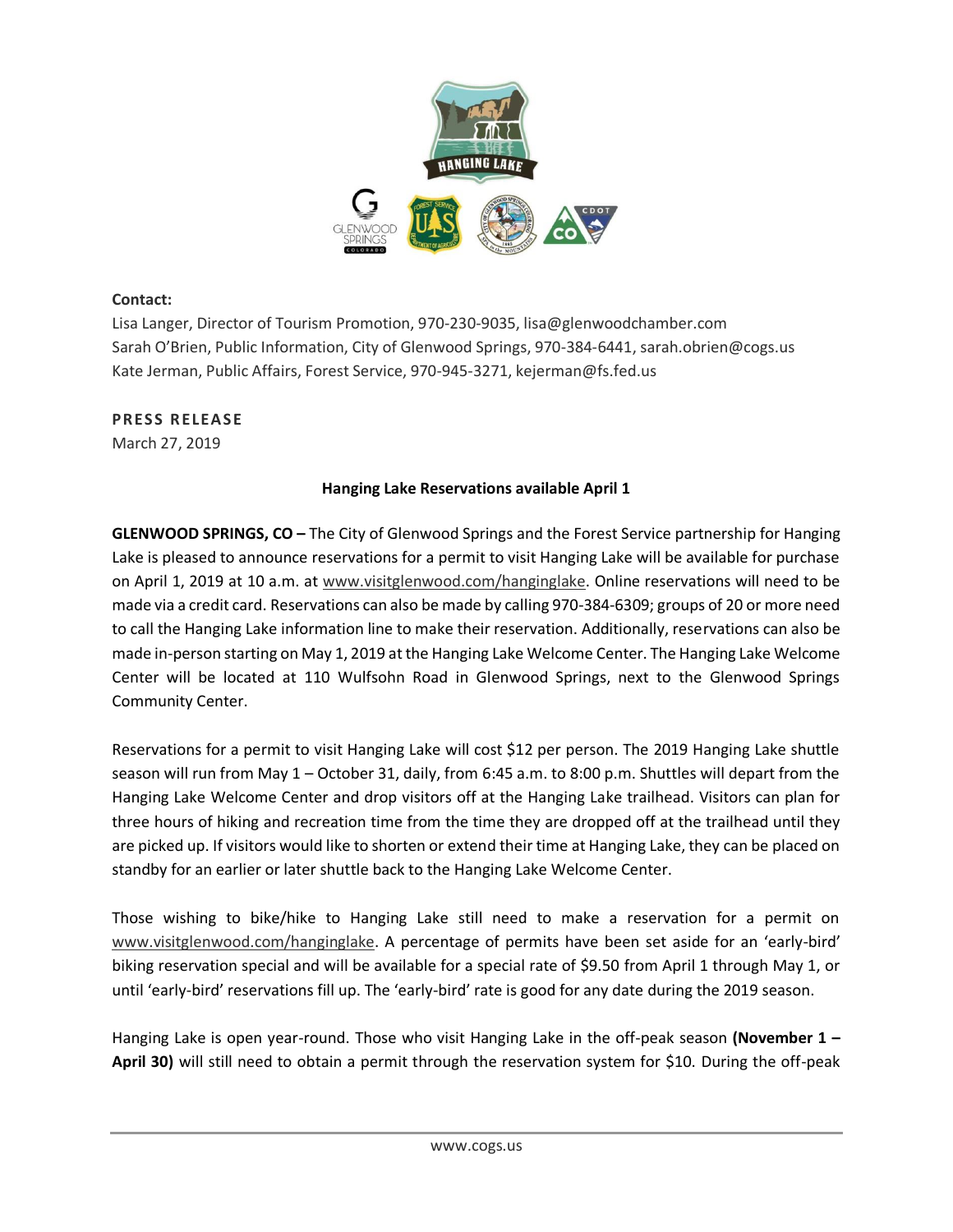

## **Contact:**

Lisa Langer, Director of Tourism Promotion, 970-230-9035, lisa@glenwoodchamber.com Sarah O'Brien, Public Information, City of Glenwood Springs, 970-384-6441, sarah.obrien@cogs.us Kate Jerman, Public Affairs, Forest Service, 970-945-3271, kejerman@fs.fed.us

## **PRESS RELEASE**

March 27, 2019

## **Hanging Lake Reservations available April 1**

**GLENWOOD SPRINGS, CO –** The City of Glenwood Springs and the Forest Service partnership for Hanging Lake is pleased to announce reservations for a permit to visit Hanging Lake will be available for purchase on April 1, 2019 at 10 a.m. at [www.visitglenwood.com/hanginglake.](http://www.visitglenwood.com/hanginglake) Online reservations will need to be made via a credit card. Reservations can also be made by calling 970-384-6309; groups of 20 or more need to call the Hanging Lake information line to make their reservation. Additionally, reservations can also be made in-person starting on May 1, 2019 at the Hanging Lake Welcome Center. The Hanging Lake Welcome Center will be located at 110 Wulfsohn Road in Glenwood Springs, next to the Glenwood Springs Community Center.

Reservations for a permit to visit Hanging Lake will cost \$12 per person. The 2019 Hanging Lake shuttle season will run from May 1 – October 31, daily, from 6:45 a.m. to 8:00 p.m. Shuttles will depart from the Hanging Lake Welcome Center and drop visitors off at the Hanging Lake trailhead. Visitors can plan for three hours of hiking and recreation time from the time they are dropped off at the trailhead until they are picked up. If visitors would like to shorten or extend their time at Hanging Lake, they can be placed on standby for an earlier or later shuttle back to the Hanging Lake Welcome Center.

Those wishing to bike/hike to Hanging Lake still need to make a reservation for a permit on [www.visitglenwood.com/hanginglake.](http://www.visitglenwood.com/hanginglake) A percentage of permits have been set aside for an 'early-bird' biking reservation special and will be available for a special rate of \$9.50 from April 1 through May 1, or until 'early-bird' reservations fill up. The 'early-bird' rate is good for any date during the 2019 season.

Hanging Lake is open year-round. Those who visit Hanging Lake in the off-peak season **(November 1 – April 30)** will still need to obtain a permit through the reservation system for \$10. During the off-peak